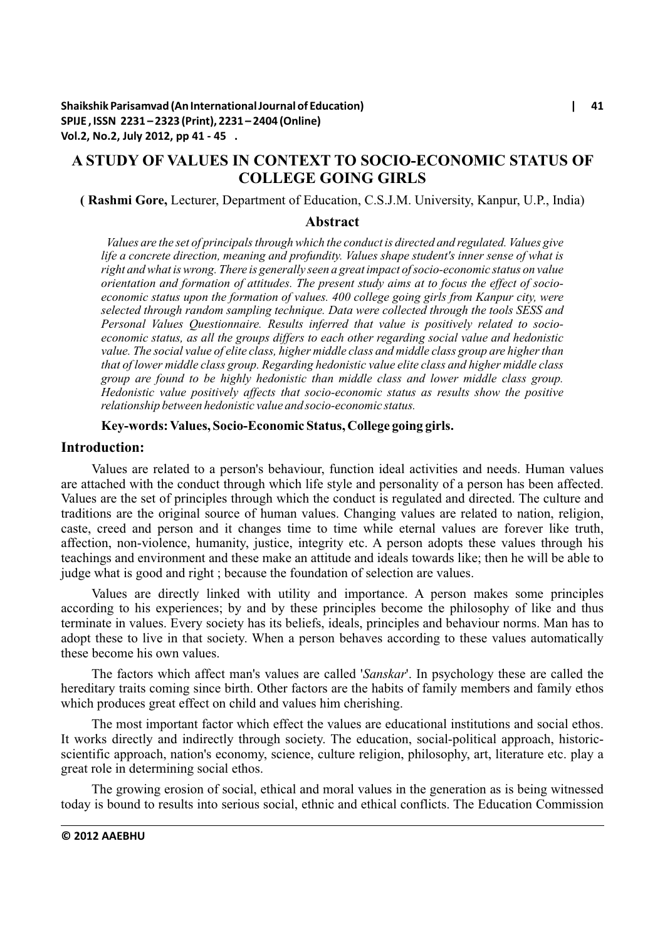# **A STUDY OF VALUES IN CONTEXT TO SOCIO-ECONOMIC STATUS OF COLLEGE GOING GIRLS**

**( Rashmi Gore,** Lecturer, Department of Education, C.S.J.M. University, Kanpur, U.P., India)

### **Abstract**

*Values are the set of principals through which the conduct is directed and regulated. Values give life a concrete direction, meaning and profundity. Values shape student's inner sense of what is right and what is wrong. There is generally seen a great impact of socio-economic status on value orientation and formation of attitudes. The present study aims at to focus the effect of socioeconomic status upon the formation of values. 400 college going girls from Kanpur city, were selected through random sampling technique. Data were collected through the tools SESS and Personal Values Questionnaire. Results inferred that value is positively related to socioeconomic status, as all the groups differs to each other regarding social value and hedonistic value. The social value of elite class, higher middle class and middle class group are higher than that of lower middle class group. Regarding hedonistic value elite class and higher middle class group are found to be highly hedonistic than middle class and lower middle class group. Hedonistic value positively affects that socio-economic status as results show the positive relationship between hedonistic value and socio-economic status.* 

### **Key-words: Values, Socio-Economic Status, College going girls.**

## **Introduction:**

Values are related to a person's behaviour, function ideal activities and needs. Human values are attached with the conduct through which life style and personality of a person has been affected. Values are the set of principles through which the conduct is regulated and directed. The culture and traditions are the original source of human values. Changing values are related to nation, religion, caste, creed and person and it changes time to time while eternal values are forever like truth, affection, non-violence, humanity, justice, integrity etc. A person adopts these values through his teachings and environment and these make an attitude and ideals towards like; then he will be able to judge what is good and right ; because the foundation of selection are values.

Values are directly linked with utility and importance. A person makes some principles according to his experiences; by and by these principles become the philosophy of like and thus terminate in values. Every society has its beliefs, ideals, principles and behaviour norms. Man has to adopt these to live in that society. When a person behaves according to these values automatically these become his own values.

The factors which affect man's values are called '*Sanskar*'. In psychology these are called the hereditary traits coming since birth. Other factors are the habits of family members and family ethos which produces great effect on child and values him cherishing.

The most important factor which effect the values are educational institutions and social ethos. It works directly and indirectly through society. The education, social-political approach, historicscientific approach, nation's economy, science, culture religion, philosophy, art, literature etc. play a great role in determining social ethos.

The growing erosion of social, ethical and moral values in the generation as is being witnessed today is bound to results into serious social, ethnic and ethical conflicts. The Education Commission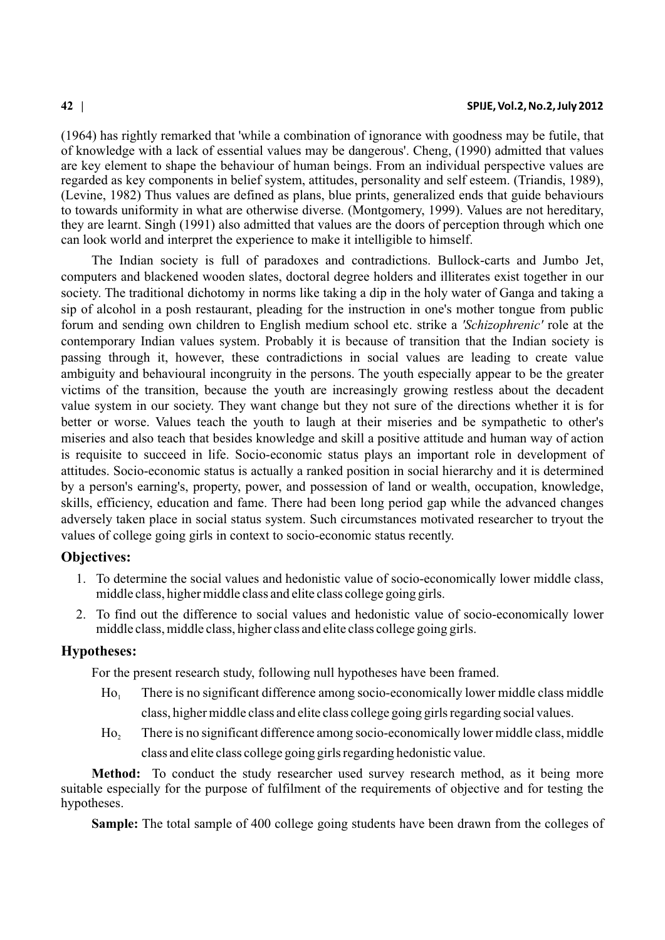(1964) has rightly remarked that 'while a combination of ignorance with goodness may be futile, that of knowledge with a lack of essential values may be dangerous'. Cheng, (1990) admitted that values are key element to shape the behaviour of human beings. From an individual perspective values are regarded as key components in belief system, attitudes, personality and self esteem. (Triandis, 1989), (Levine, 1982) Thus values are defined as plans, blue prints, generalized ends that guide behaviours to towards uniformity in what are otherwise diverse. (Montgomery, 1999). Values are not hereditary, they are learnt. Singh (1991) also admitted that values are the doors of perception through which one can look world and interpret the experience to make it intelligible to himself.

The Indian society is full of paradoxes and contradictions. Bullock-carts and Jumbo Jet, computers and blackened wooden slates, doctoral degree holders and illiterates exist together in our society. The traditional dichotomy in norms like taking a dip in the holy water of Ganga and taking a sip of alcohol in a posh restaurant, pleading for the instruction in one's mother tongue from public forum and sending own children to English medium school etc. strike a *'Schizophrenic'* role at the contemporary Indian values system. Probably it is because of transition that the Indian society is passing through it, however, these contradictions in social values are leading to create value ambiguity and behavioural incongruity in the persons. The youth especially appear to be the greater victims of the transition, because the youth are increasingly growing restless about the decadent value system in our society. They want change but they not sure of the directions whether it is for better or worse. Values teach the youth to laugh at their miseries and be sympathetic to other's miseries and also teach that besides knowledge and skill a positive attitude and human way of action is requisite to succeed in life. Socio-economic status plays an important role in development of attitudes. Socio-economic status is actually a ranked position in social hierarchy and it is determined by a person's earning's, property, power, and possession of land or wealth, occupation, knowledge, skills, efficiency, education and fame. There had been long period gap while the advanced changes adversely taken place in social status system. Such circumstances motivated researcher to tryout the values of college going girls in context to socio-economic status recently.

# **Objectives:**

- 1. To determine the social values and hedonistic value of socio-economically lower middle class, middle class, higher middle class and elite class college going girls.
- 2. To find out the difference to social values and hedonistic value of socio-economically lower middle class, middle class, higher class and elite class college going girls.

### **Hypotheses:**

For the present research study, following null hypotheses have been framed.

- Ho. There is no significant difference among socio-economically lower middle class middle class, higher middle class and elite class college going girls regarding social values.
- Ho, There is no significant difference among socio-economically lower middle class, middle class and elite class college going girls regarding hedonistic value.

**Method:** To conduct the study researcher used survey research method, as it being more suitable especially for the purpose of fulfilment of the requirements of objective and for testing the hypotheses.

**Sample:** The total sample of 400 college going students have been drawn from the colleges of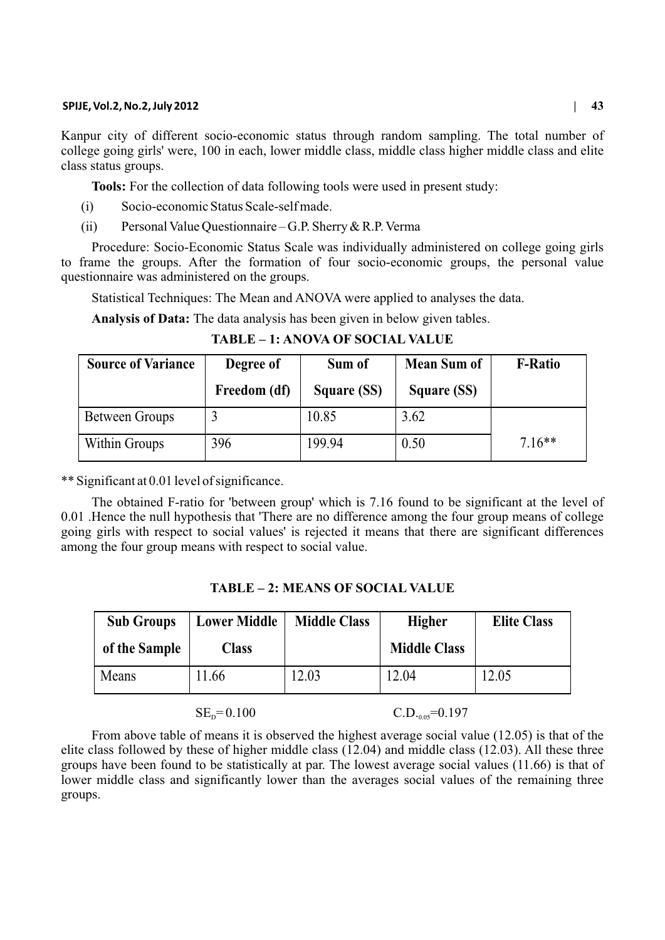#### **SPIJE, Vol.2, No.2, July 2012 | 43**

Kanpur city of different socio-economic status through random sampling. The total number of college going girls' were, 100 in each, lower middle class, middle class higher middle class and elite class status groups.

**Tools:** For the collection of data following tools were used in present study:

- (i) Socio-economic Status Scale-self made.
- (ii) Personal Value Questionnaire G.P. Sherry & R.P. Verma

Procedure: Socio-Economic Status Scale was individually administered on college going girls to frame the groups. After the formation of four socio-economic groups, the personal value questionnaire was administered on the groups.

Statistical Techniques: The Mean and ANOVA were applied to analyses the data.

**Analysis of Data:** The data analysis has been given in below given tables.

**TABLE – 1: ANOVA OF SOCIAL VALUE** 

| <b>Source of Variance</b> | Degree of    | Sum of      | <b>Mean Sum of</b> | <b>F-Ratio</b> |
|---------------------------|--------------|-------------|--------------------|----------------|
|                           | Freedom (df) | Square (SS) | Square (SS)        |                |
| <b>Between Groups</b>     |              | 10.85       | 3.62               |                |
| Within Groups             | 396          | 199.94      | 0.50               | $7.16**$       |

\*\* Significant at 0.01 level of significance.

The obtained F-ratio for 'between group' which is 7.16 found to be significant at the level of 0.01 .Hence the null hypothesis that 'There are no difference among the four group means of college going girls with respect to social values' is rejected it means that there are significant differences among the four group means with respect to social value.

| <b>Sub Groups</b> | <b>Lower Middle</b> | <b>Middle Class</b> | <b>Higher</b>       | <b>Elite Class</b> |
|-------------------|---------------------|---------------------|---------------------|--------------------|
| of the Sample     | Class               |                     | <b>Middle Class</b> |                    |
| Means             | 11.66               | 12.03               | 12.04               | 12.05              |

**TABLE – 2: MEANS OF SOCIAL VALUE** 

From above table of means it is observed the highest average social value (12.05) is that of the elite class followed by these of higher middle class (12.04) and middle class (12.03). All these three groups have been found to be statistically at par. The lowest average social values (11.66) is that of lower middle class and significantly lower than the averages social values of the remaining three groups.

 $SE<sub>p</sub>=0.100$  C.D.<sub>0.05</sub>=0.197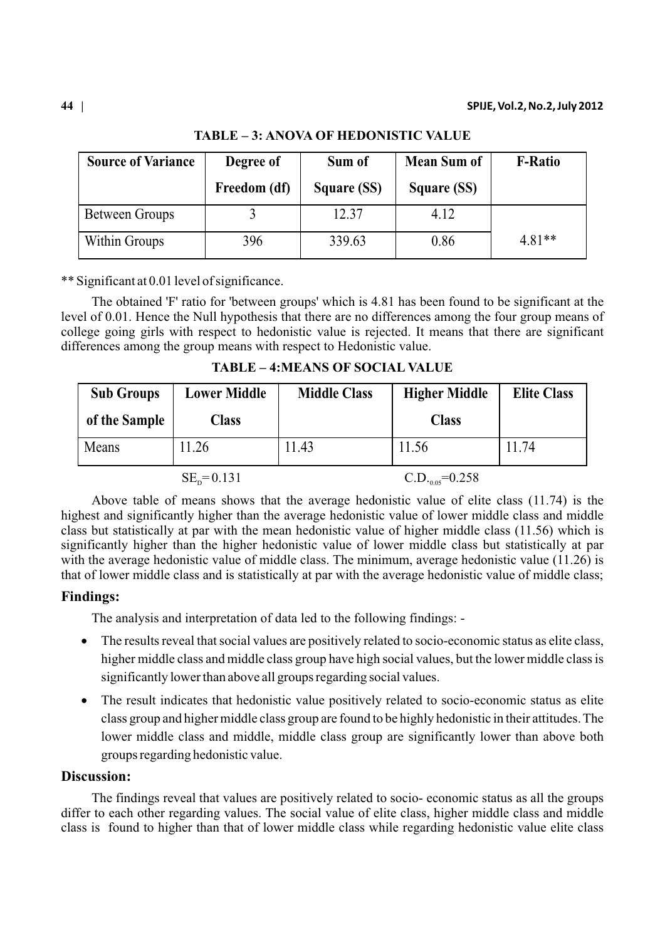| <b>Source of Variance</b> | Degree of<br>Freedom (df) | Sum of<br>Square (SS) | <b>Mean Sum of</b><br>Square (SS) | <b>F-Ratio</b> |
|---------------------------|---------------------------|-----------------------|-----------------------------------|----------------|
| <b>Between Groups</b>     |                           | 12.37                 | 4.12                              |                |
| Within Groups             | 396                       | 339.63                | 0.86                              | $4.81**$       |

**TABLE – 3: ANOVA OF HEDONISTIC VALUE**

\*\* Significant at 0.01 level of significance.

The obtained 'F' ratio for 'between groups' which is 4.81 has been found to be significant at the level of 0.01. Hence the Null hypothesis that there are no differences among the four group means of college going girls with respect to hedonistic value is rejected. It means that there are significant differences among the group means with respect to Hedonistic value.

**TABLE – 4:MEANS OF SOCIAL VALUE** 

| <b>Sub Groups</b> | <b>Lower Middle</b> | <b>Middle Class</b> | <b>Higher Middle</b>  | <b>Elite Class</b> |
|-------------------|---------------------|---------------------|-----------------------|--------------------|
| of the Sample     | <b>Class</b>        |                     | <b>Class</b>          |                    |
| Means             | 11.26               | 11.43               | 11.56                 | 11.74              |
|                   | $SE_p = 0.131$      |                     | $C.D._{0.05} = 0.258$ |                    |

Above table of means shows that the average hedonistic value of elite class (11.74) is the highest and significantly higher than the average hedonistic value of lower middle class and middle class but statistically at par with the mean hedonistic value of higher middle class (11.56) which is significantly higher than the higher hedonistic value of lower middle class but statistically at par with the average hedonistic value of middle class. The minimum, average hedonistic value (11.26) is that of lower middle class and is statistically at par with the average hedonistic value of middle class;

# **Findings:**

The analysis and interpretation of data led to the following findings: -

The results reveal that social values are positively related to socio-economic status as elite class, higher middle class and middle class group have high social values, but the lower middle class is significantly lower than above all groups regarding social values.

The result indicates that hedonistic value positively related to socio-economic status as elite class group and higher middle class group are found to be highly hedonistic in their attitudes. The lower middle class and middle, middle class group are significantly lower than above both groups regarding hedonistic value.

# **Discussion:**

The findings reveal that values are positively related to socio- economic status as all the groups differ to each other regarding values. The social value of elite class, higher middle class and middle class is found to higher than that of lower middle class while regarding hedonistic value elite class